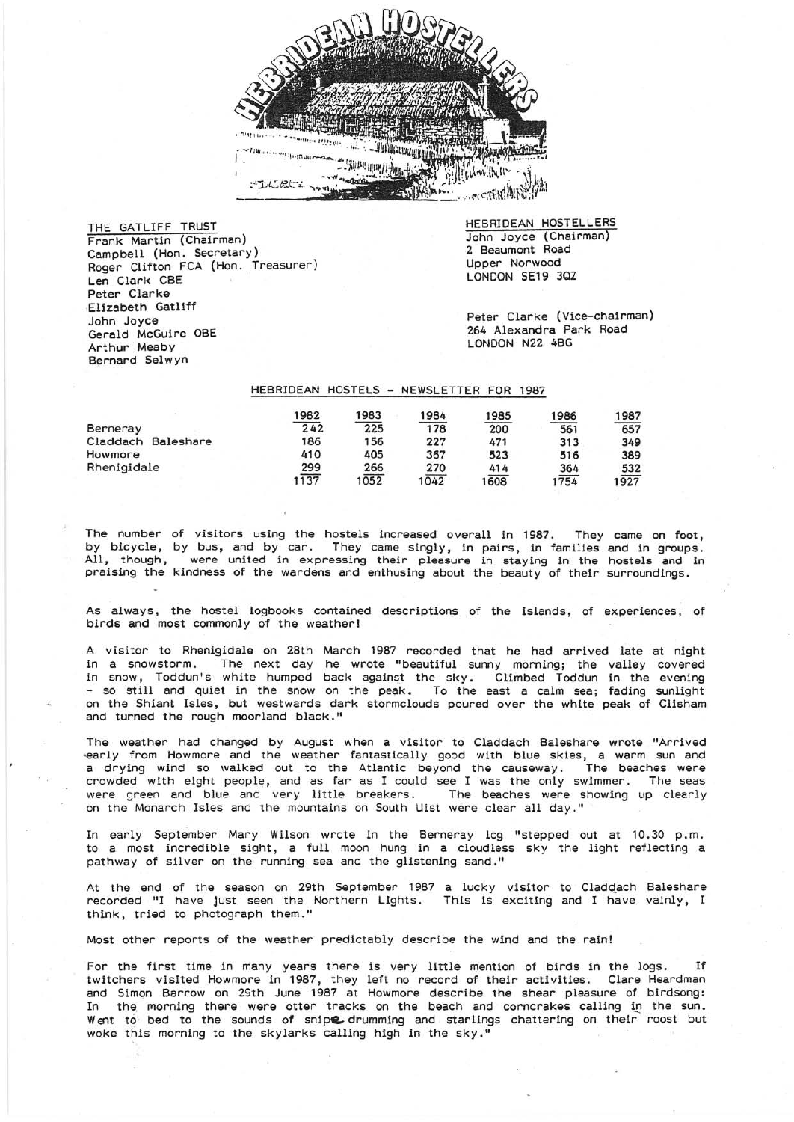

THE GATLIFF TRUST Frank Martin (Chairman) Campbell (Hon. Secretary) Roger Clifton FCA (Hon. Treasurer) Len Clark CBE Peter Clarke Elizabeth Gatliff John Joyce Gerald McGuire OBE Arthur Meaby Bernard Selwyn

HEBRIDEAN HOSTELLERS John Joyce (Chairman) 2 Beaumont Road Upper Norwood LONDON SE19 3QZ

Peter Clarke (Vice-chairman) 264 Alexandra Park Road LONDON N22 4BG

## HEBRIDEAN HOSTELS - NEWSLETTER FOR 1987

|                       | 982  | 983  | 1984 | 1985 | 1986 | 1987 |
|-----------------------|------|------|------|------|------|------|
| Berneray              | 242  | 225  | 178  | 200  | 561  | 657  |
| Claddach<br>Baleshare | 186  | 156  | 227  | 471  | 313  | 349  |
| Howmore               | 410  | 405  | 367  | 523  | 516  | 389  |
| Rhenigidale           | 299  | 266  | 270  | 414  | 364  | 532  |
|                       | 1137 | 1052 | 1042 | 608  | 1754 | 1927 |

The number of visitors using the hostels increased overall in 1987. They came on foot, by bicycle, by bus, and by car. They came singly, in pairs, in families and in groups. All, though, were united in expressing their pleasure in staying in the hostels and in praising the kindness of the wardens and enthusing about the beauty of their surroundings.

As always, the hostel logbooks contained descriptions of the islands, of experiences, of birds and most commonly of the weather!

A visitor to Rhenigidale on 28th March 1987 recorded that he had arrived late at night in a snowstorm. The next day he wrote "beautiful sunny morning; the valley covered in snow, Toddun's white humped back against the sky. Climbed Toddun in the evening - so still and quiet in the snow on the peak. To the east a calm sea; fading sunlight on the Shiant Isles, but westwards dark stormclouds poured over the white peak of Clisham and turned the rough moorland black."

The weather had changed by August when a visitor to Claddach Baleshare wrote "Arrived 'early from Howmore and the weather fantastically good with blue skies, a warm sun and a drying wind so walked out to the Atlantic beyond the causeway. The beaches were crowded with eight people, and as far as I could see I was the only swimmer. The seas<br>were green and blue and very little breakers. The beaches were showing up clearly were green and blue and very little breakers. on the Monarch Isles and the mountains on South Uist were clear all day."

In early September Mary Wilson wrote in the Berneray log "stepped out at 10.30 p.m. to a most incredible sight, a full moon hung in a cloudless sky the light reflecting a pathway of silver on the running sea and the glistening sand."

At the end of the season on 29th September 1987 a lucky visitor to Cladqach Baleshare recorded "I have just seen the Northern Lights. This is exciting and I have vainly, I think, tried to photograph them."

Most other reports of the weather predIctably describe the wind and the rain!

For the first time in many years there is very little mention of birds in the logs. If twitchers visited Howmore in 1987, they left no record of their activities. Clare Heardman and Simon Barrow on 29th June 1987 at Howmore describe the shear pleasure of birdsong: In the morning there were otter tracks on the beach and corncrakes calling in the sun. Went to bed to the sounds of snipe drumming and starlings chattering on their roost but woke this morning to the skylarks calling high in the sky."